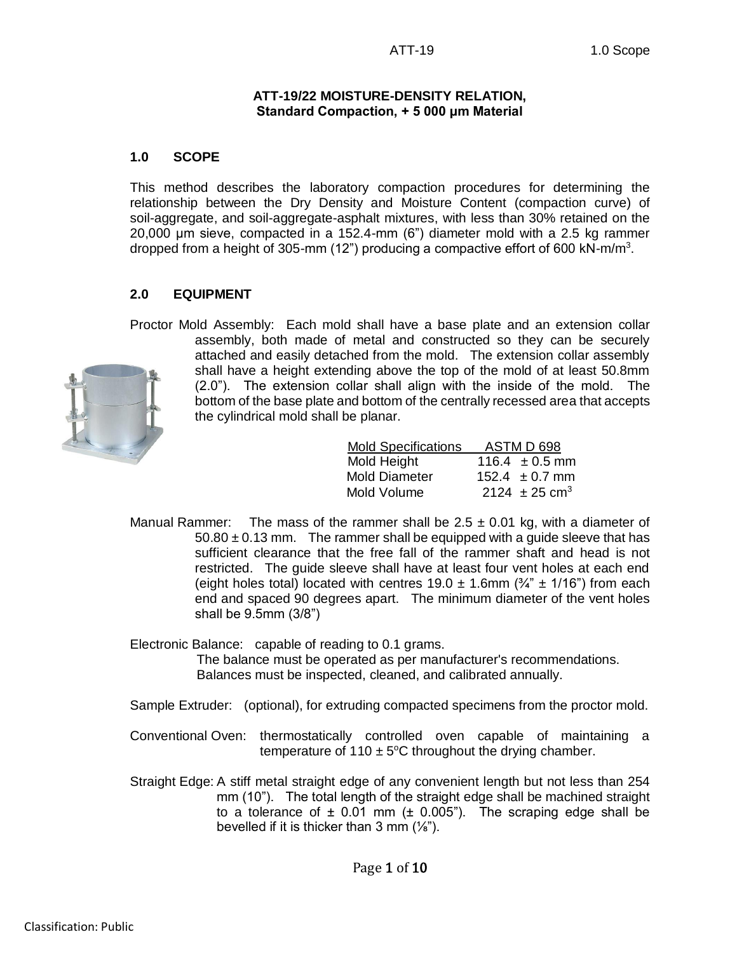#### **ATT-19/22 MOISTURE-DENSITY RELATION, Standard Compaction, + 5 000 μm Material**

#### **1.0 SCOPE**

This method describes the laboratory compaction procedures for determining the relationship between the Dry Density and Moisture Content (compaction curve) of soil-aggregate, and soil-aggregate-asphalt mixtures, with less than 30% retained on the 20,000 μm sieve, compacted in a 152.4-mm (6") diameter mold with a 2.5 kg rammer dropped from a height of 305-mm (12") producing a compactive effort of 600 kN-m/m<sup>3</sup>.

#### **2.0 EQUIPMENT**

Proctor Mold Assembly: Each mold shall have a base plate and an extension collar assembly, both made of metal and constructed so they can be securely attached and easily detached from the mold. The extension collar assembly shall have a height extending above the top of the mold of at least 50.8mm (2.0"). The extension collar shall align with the inside of the mold. The bottom of the base plate and bottom of the centrally recessed area that accepts the cylindrical mold shall be planar.

| <b>Mold Specifications</b> | ASTM D 698 |                               |  |  |  |
|----------------------------|------------|-------------------------------|--|--|--|
| Mold Height                |            | 116.4 $\pm$ 0.5 mm            |  |  |  |
| Mold Diameter              |            | $152.4 \pm 0.7$ mm            |  |  |  |
| Mold Volume                |            | $2124 \pm 25$ cm <sup>3</sup> |  |  |  |

Manual Rammer: The mass of the rammer shall be  $2.5 \pm 0.01$  kg, with a diameter of  $50.80 \pm 0.13$  mm. The rammer shall be equipped with a quide sleeve that has sufficient clearance that the free fall of the rammer shaft and head is not restricted. The guide sleeve shall have at least four vent holes at each end (eight holes total) located with centres  $19.0 \pm 1.6$ mm  $\left(\frac{3}{4}\right) \pm 1/16$ ") from each end and spaced 90 degrees apart. The minimum diameter of the vent holes shall be 9.5mm (3/8")

Electronic Balance: capable of reading to 0.1 grams.

The balance must be operated as per manufacturer's recommendations. Balances must be inspected, cleaned, and calibrated annually.

Sample Extruder: (optional), for extruding compacted specimens from the proctor mold.

- Conventional Oven: thermostatically controlled oven capable of maintaining a temperature of 110  $\pm$  5°C throughout the drying chamber.
- Straight Edge: A stiff metal straight edge of any convenient length but not less than 254 mm (10"). The total length of the straight edge shall be machined straight to a tolerance of  $\pm$  0.01 mm ( $\pm$  0.005"). The scraping edge shall be bevelled if it is thicker than 3 mm  $(\frac{1}{8})$ .

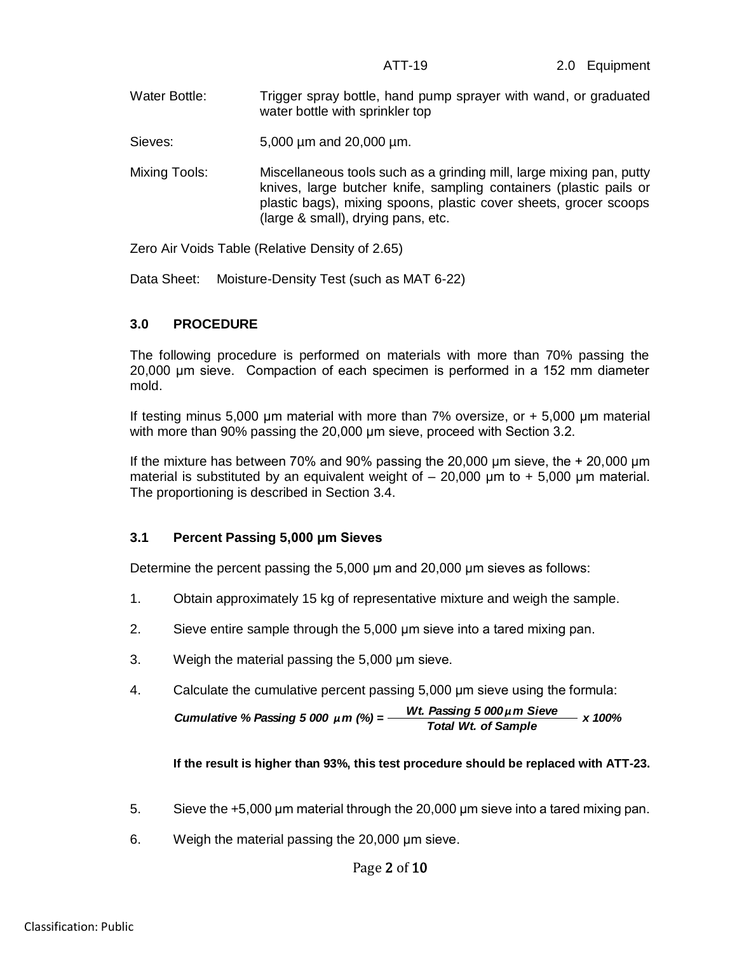- Water Bottle: Trigger spray bottle, hand pump sprayer with wand, or graduated water bottle with sprinkler top
- Sieves: 5,000 µm and 20,000 µm.
- Mixing Tools: Miscellaneous tools such as a grinding mill, large mixing pan, putty knives, large butcher knife, sampling containers (plastic pails or plastic bags), mixing spoons, plastic cover sheets, grocer scoops (large & small), drying pans, etc.

Zero Air Voids Table (Relative Density of 2.65)

Data Sheet: Moisture-Density Test (such as MAT 6-22)

# **3.0 PROCEDURE**

The following procedure is performed on materials with more than 70% passing the 20,000 μm sieve. Compaction of each specimen is performed in a 152 mm diameter mold.

If testing minus 5,000 μm material with more than 7% oversize, or + 5,000 μm material with more than 90% passing the 20,000 μm sieve, proceed with Section 3.2.

If the mixture has between 70% and 90% passing the 20,000 μm sieve, the + 20,000 μm material is substituted by an equivalent weight of  $-20,000$  µm to  $+5,000$  µm material. The proportioning is described in Section 3.4.

#### **3.1 Percent Passing 5,000 μm Sieves**

Determine the percent passing the 5,000 μm and 20,000 μm sieves as follows:

- 1. Obtain approximately 15 kg of representative mixture and weigh the sample.
- 2. Sieve entire sample through the 5,000 μm sieve into a tared mixing pan.
- 3. Weigh the material passing the 5,000 μm sieve.
- 4. Calculate the cumulative percent passing 5,000 μm sieve using the formula:

Cumulative % Passing 5 000 
$$
\mu
$$
 m (%) = 
$$
\frac{Wt. Passing 5 000 \mu m Sieve}{Total Wt. of Sample} \times 100\%
$$

**If the result is higher than 93%, this test procedure should be replaced with ATT-23.**

- 5. Sieve the +5,000 μm material through the 20,000 μm sieve into a tared mixing pan.
- 6. Weigh the material passing the 20,000 μm sieve.

# Page 2 of 10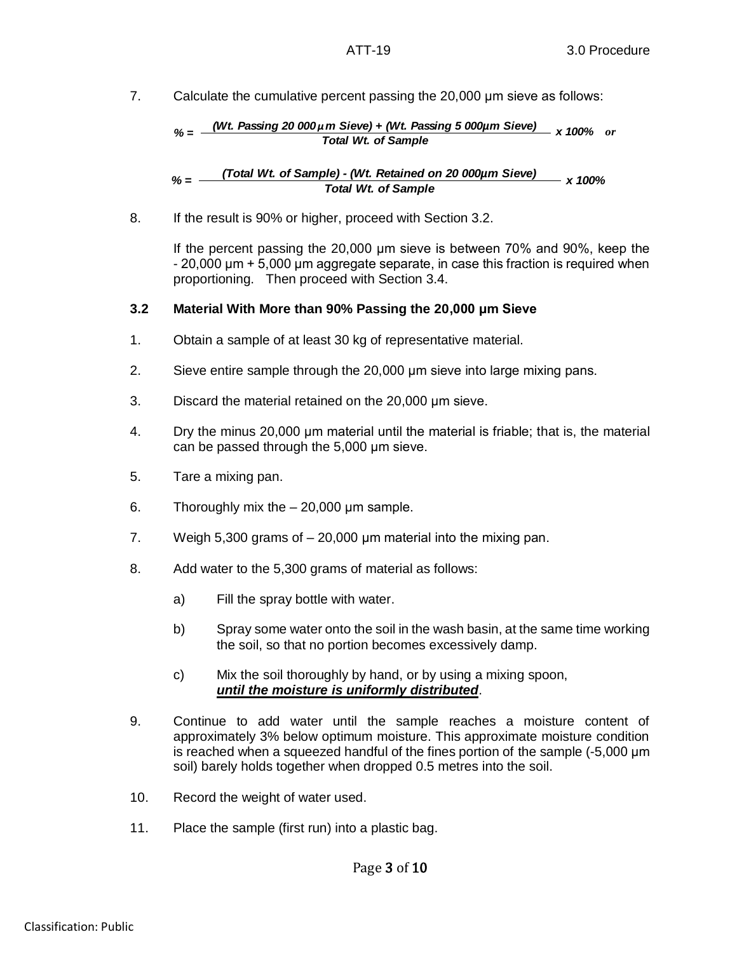7. Calculate the cumulative percent passing the 20,000 μm sieve as follows:

Calculate the cumulative percent passing the 20,000 µm sieve as follows:  
\n
$$
\% = \frac{(Wt. Passing 20000 \mu \text{m Sieve}) + (Wt. Passing 5000 \mu \text{m Sieve})}{Total Wt. of Sample} \times 100\% \text{ or}
$$

*Total Wt. of Sample % = % = (Total Wt. of Sample) - (Wt. Retained on 20 000µm Sieve) Total Wt. of Sample x 100%*

8. If the result is 90% or higher, proceed with Section 3.2.

If the percent passing the 20,000 μm sieve is between 70% and 90%, keep the - 20,000 μm + 5,000 μm aggregate separate, in case this fraction is required when proportioning. Then proceed with Section 3.4.

# **3.2 Material With More than 90% Passing the 20,000 μm Sieve**

- 1. Obtain a sample of at least 30 kg of representative material.
- 2. Sieve entire sample through the 20,000 μm sieve into large mixing pans.
- 3. Discard the material retained on the 20,000 μm sieve.
- 4. Dry the minus 20,000 μm material until the material is friable; that is, the material can be passed through the 5,000 μm sieve.
- 5. Tare a mixing pan.
- 6. Thoroughly mix the  $-20,000$  µm sample.
- 7. Weigh 5,300 grams of 20,000 μm material into the mixing pan.
- 8. Add water to the 5,300 grams of material as follows:
	- a) Fill the spray bottle with water.
	- b) Spray some water onto the soil in the wash basin, at the same time working the soil, so that no portion becomes excessively damp.
	- c) Mix the soil thoroughly by hand, or by using a mixing spoon, *until the moisture is uniformly distributed*.
- 9. Continue to add water until the sample reaches a moisture content of approximately 3% below optimum moisture. This approximate moisture condition is reached when a squeezed handful of the fines portion of the sample (-5,000 μm soil) barely holds together when dropped 0.5 metres into the soil.
- 10. Record the weight of water used.
- 11. Place the sample (first run) into a plastic bag.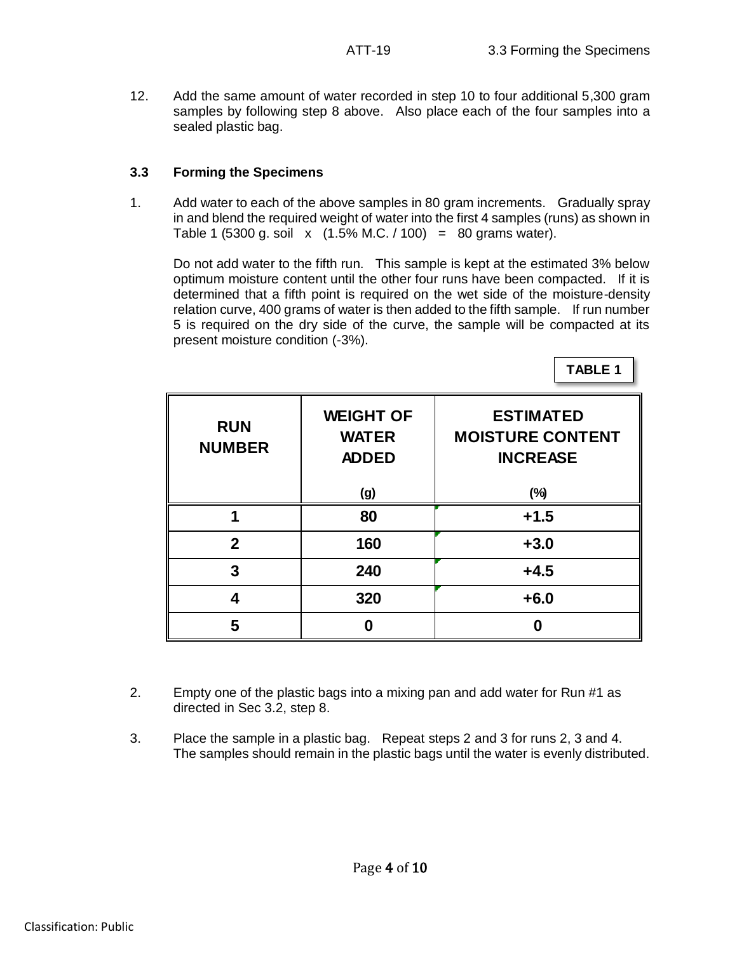**TABLE 1**

12. Add the same amount of water recorded in step 10 to four additional 5,300 gram samples by following step 8 above. Also place each of the four samples into a sealed plastic bag.

### **3.3 Forming the Specimens**

1. Add water to each of the above samples in 80 gram increments. Gradually spray in and blend the required weight of water into the first 4 samples (runs) as shown in Table 1 (5300 g. soil  $x$  (1.5% M.C. / 100) = 80 grams water).

Do not add water to the fifth run. This sample is kept at the estimated 3% below optimum moisture content until the other four runs have been compacted. If it is determined that a fifth point is required on the wet side of the moisture-density relation curve, 400 grams of water is then added to the fifth sample. If run number 5 is required on the dry side of the curve, the sample will be compacted at its present moisture condition (-3%).

| <b>RUN</b><br><b>NUMBER</b> | <b>WEIGHT OF</b><br><b>WATER</b><br><b>ADDED</b> | <b>ESTIMATED</b><br><b>MOISTURE CONTENT</b><br><b>INCREASE</b> |  |  |
|-----------------------------|--------------------------------------------------|----------------------------------------------------------------|--|--|
|                             | (g)                                              | $(\%)$                                                         |  |  |
| 1                           | 80                                               | $+1.5$                                                         |  |  |
| $\mathbf{2}$                | 160                                              | $+3.0$                                                         |  |  |
| 3                           | 240                                              | $+4.5$                                                         |  |  |
| 4                           | 320                                              | $+6.0$                                                         |  |  |
| 5                           |                                                  |                                                                |  |  |

- 2. Empty one of the plastic bags into a mixing pan and add water for Run #1 as directed in Sec 3.2, step 8.
- 3. Place the sample in a plastic bag. Repeat steps 2 and 3 for runs 2, 3 and 4. The samples should remain in the plastic bags until the water is evenly distributed.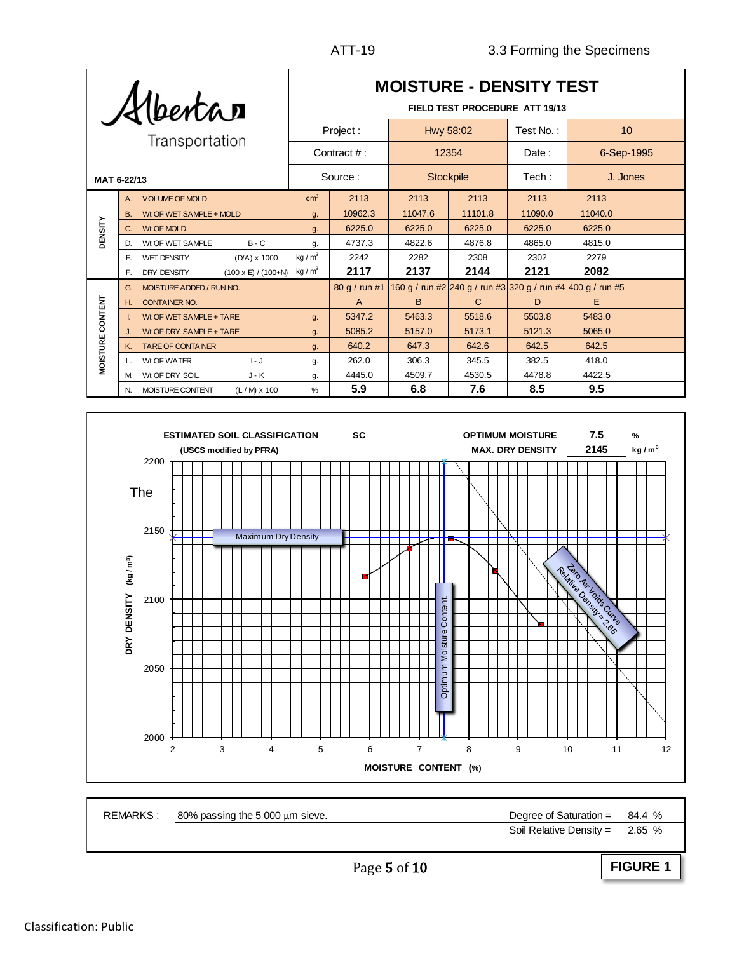

# **MOISTURE - DENSITY TEST**

| <b>XIbertan</b>         |           | FIELD TEST PROCEDURE ATT 19/13       |                            |                |                |           |                                                                                 |                         |        |   |
|-------------------------|-----------|--------------------------------------|----------------------------|----------------|----------------|-----------|---------------------------------------------------------------------------------|-------------------------|--------|---|
|                         |           | Project:                             |                            | Hwy 58:02      |                | Test No.: | 10 <sup>10</sup>                                                                |                         |        |   |
|                         |           |                                      |                            | Contract $#$ : | 12354          |           | Date:                                                                           | 6-Sep-1995              |        |   |
| MAT 6-22/13             |           |                                      |                            | Source:        |                | Stockpile | Tech :                                                                          | J. Jones                |        |   |
| <b>DENSITY</b>          | A.        | <b>VOLUME OF MOLD</b>                |                            | $\text{cm}^3$  | 2113           | 2113      | 2113                                                                            | 2113                    | 2113   |   |
|                         | <b>B.</b> | Wt OF WET SAMPLE + MOLD              | g.                         | 10962.3        | 11047.6        | 11101.8   | 11090.0                                                                         | 11040.0                 |        |   |
|                         | C.        | Wt OF MOLD                           |                            | g.             | 6225.0         | 6225.0    | 6225.0                                                                          | 6225.0                  | 6225.0 |   |
|                         | D.        | Wt OF WET SAMPLE                     | $B - C$                    | g.             | 4737.3         | 4822.6    | 4876.8                                                                          | 4865.0                  | 4815.0 |   |
|                         | E.        | <b>WET DENSITY</b>                   | $(D/A) \times 1000$        | kg / $m3$      | 2242           | 2282      | 2308                                                                            | 2302                    | 2279   |   |
|                         | E.        | DRY DENSITY                          | $(100 \times E) / (100+N)$ | kg / $m3$      | 2117           | 2137      | 2144                                                                            | 2121                    | 2082   |   |
|                         | G.        | MOISTURE ADDED / RUN NO.             |                            |                | 80 g / run #1  |           | $160 g / \text{run } \#2$ 240 g / run $\#3$ 320 g / run $\#4$ 400 g / run $\#5$ |                         |        |   |
|                         | Н.        | <b>CONTAINER NO.</b>                 |                            |                | $\overline{A}$ | B         | $\mathsf{C}$                                                                    | D                       | E.     |   |
|                         |           | Wt OF WET SAMPLE + TARE              |                            | g.             | 5347.2         | 5463.3    | 5518.6                                                                          | 5503.8                  | 5483.0 |   |
|                         | J.        | Wt OF DRY SAMPLE + TARE              |                            | g.             | 5085.2         | 5157.0    | 5173.1                                                                          | 5121.3                  | 5065.0 |   |
| <b>MOISTURE CONTENT</b> | K.        | <b>TARE OF CONTAINER</b>             |                            | g.             | 640.2          | 647.3     | 642.6                                                                           | 642.5                   | 642.5  |   |
|                         |           | Wt OF WATER                          | $l - J$                    | g.             | 262.0          | 306.3     | 345.5                                                                           | 382.5                   | 418.0  |   |
|                         | М.        | Wt OF DRY SOIL                       | $J - K$                    | g.             | 4445.0         | 4509.7    | 4530.5                                                                          | 4478.8                  | 4422.5 |   |
|                         | N.        | MOISTURE CONTENT                     | $(L/M) \times 100$         | %              | 5.9            | 6.8       | 7.6                                                                             | 8.5                     | 9.5    |   |
|                         |           | <b>ESTIMATED SOIL CLASSIFICATION</b> |                            |                | <b>SC</b>      |           |                                                                                 | <b>OPTIMUM MOISTURE</b> | 7.5    | % |





**FIGURE 1**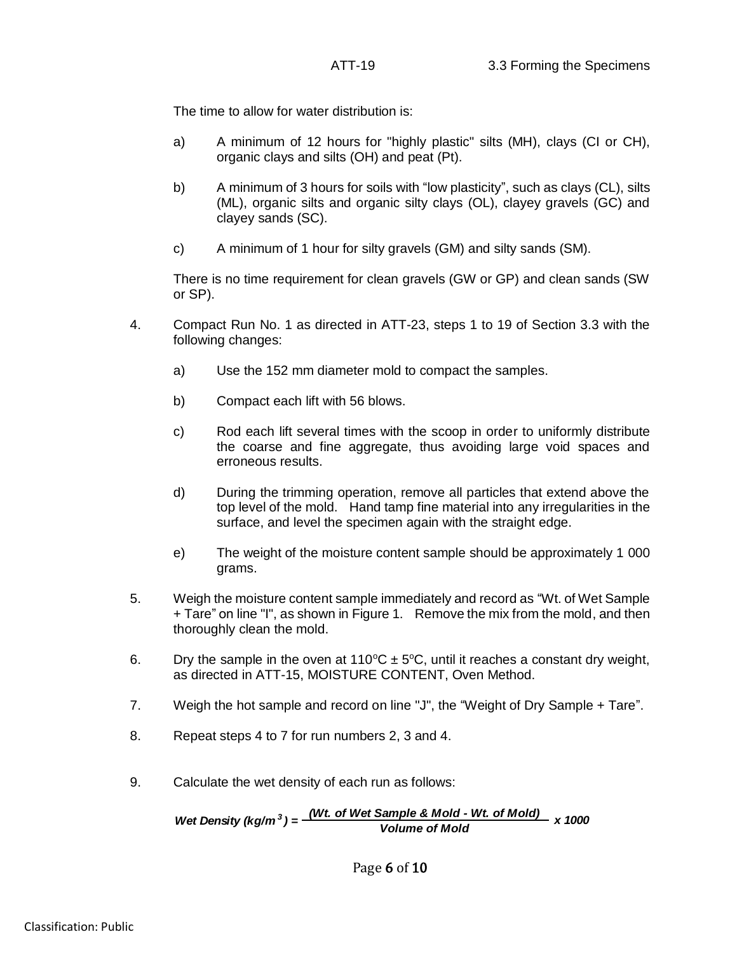The time to allow for water distribution is:

- a) A minimum of 12 hours for "highly plastic" silts (MH), clays (CI or CH), organic clays and silts (OH) and peat (Pt).
- b) A minimum of 3 hours for soils with "low plasticity", such as clays (CL), silts (ML), organic silts and organic silty clays (OL), clayey gravels (GC) and clayey sands (SC).
- c) A minimum of 1 hour for silty gravels (GM) and silty sands (SM).

There is no time requirement for clean gravels (GW or GP) and clean sands (SW or SP).

- 4. Compact Run No. 1 as directed in ATT-23, steps 1 to 19 of Section 3.3 with the following changes:
	- a) Use the 152 mm diameter mold to compact the samples.
	- b) Compact each lift with 56 blows.
	- c) Rod each lift several times with the scoop in order to uniformly distribute the coarse and fine aggregate, thus avoiding large void spaces and erroneous results.
	- d) During the trimming operation, remove all particles that extend above the top level of the mold. Hand tamp fine material into any irregularities in the surface, and level the specimen again with the straight edge.
	- e) The weight of the moisture content sample should be approximately 1 000 grams.
- 5. Weigh the moisture content sample immediately and record as "Wt. of Wet Sample + Tare" on line "I", as shown in Figure 1. Remove the mix from the mold, and then thoroughly clean the mold.
- 6. Dry the sample in the oven at  $110^{\circ}C \pm 5^{\circ}C$ , until it reaches a constant dry weight, as directed in ATT-15, MOISTURE CONTENT, Oven Method.
- 7. Weigh the hot sample and record on line "J", the "Weight of Dry Sample + Tare".
- 8. Repeat steps 4 to 7 for run numbers 2, 3 and 4.
- 9. Calculate the wet density of each run as follows:

*Wet Density (kg/m<sup>3</sup>)* =  $\frac{(Wt. \text{ of Wet Sample & Mold - Wt. \text{ of Mold})}{V_2V_3V_4V_5V_6}$  x 1000 *Volume of Mold*

Page 6 of 10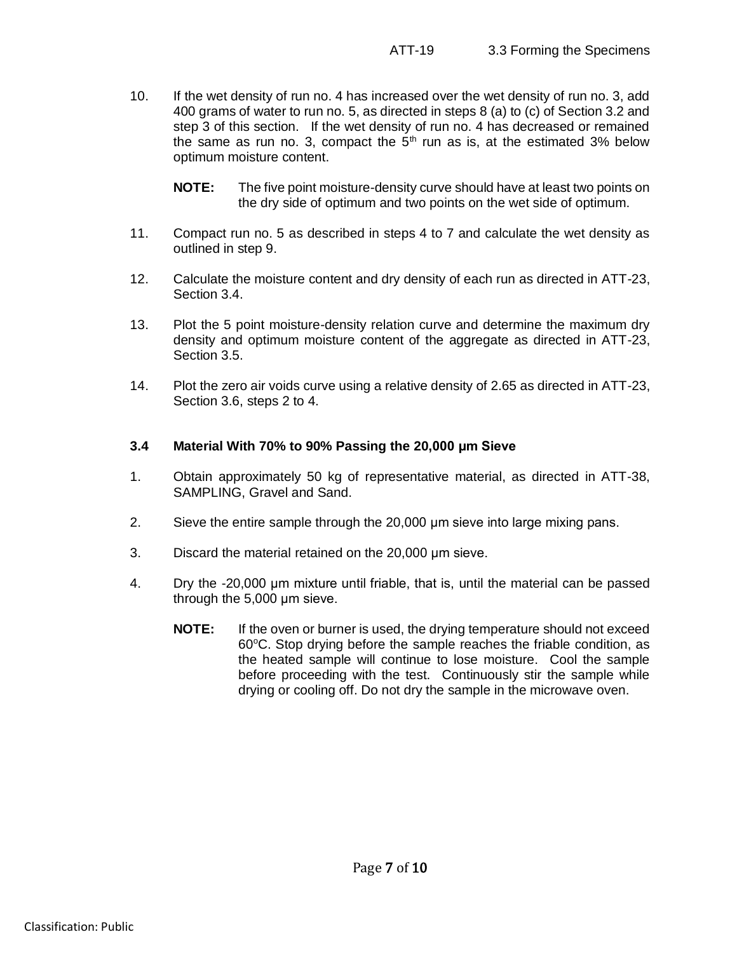- 10. If the wet density of run no. 4 has increased over the wet density of run no. 3, add 400 grams of water to run no. 5, as directed in steps 8 (a) to (c) of Section 3.2 and step 3 of this section. If the wet density of run no. 4 has decreased or remained the same as run no. 3, compact the  $5<sup>th</sup>$  run as is, at the estimated 3% below optimum moisture content.
	- **NOTE:** The five point moisture-density curve should have at least two points on the dry side of optimum and two points on the wet side of optimum.
- 11. Compact run no. 5 as described in steps 4 to 7 and calculate the wet density as outlined in step 9.
- 12. Calculate the moisture content and dry density of each run as directed in ATT-23, Section 3.4.
- 13. Plot the 5 point moisture-density relation curve and determine the maximum dry density and optimum moisture content of the aggregate as directed in ATT-23, Section 3.5.
- 14. Plot the zero air voids curve using a relative density of 2.65 as directed in ATT-23, Section 3.6, steps 2 to 4.

# **3.4 Material With 70% to 90% Passing the 20,000 μm Sieve**

- 1. Obtain approximately 50 kg of representative material, as directed in ATT-38, SAMPLING, Gravel and Sand.
- 2. Sieve the entire sample through the 20,000 μm sieve into large mixing pans.
- 3. Discard the material retained on the 20,000 μm sieve.
- 4. Dry the -20,000 μm mixture until friable, that is, until the material can be passed through the 5,000 μm sieve.
	- **NOTE:** If the oven or burner is used, the drying temperature should not exceed 60°C. Stop drying before the sample reaches the friable condition, as the heated sample will continue to lose moisture. Cool the sample before proceeding with the test. Continuously stir the sample while drying or cooling off. Do not dry the sample in the microwave oven.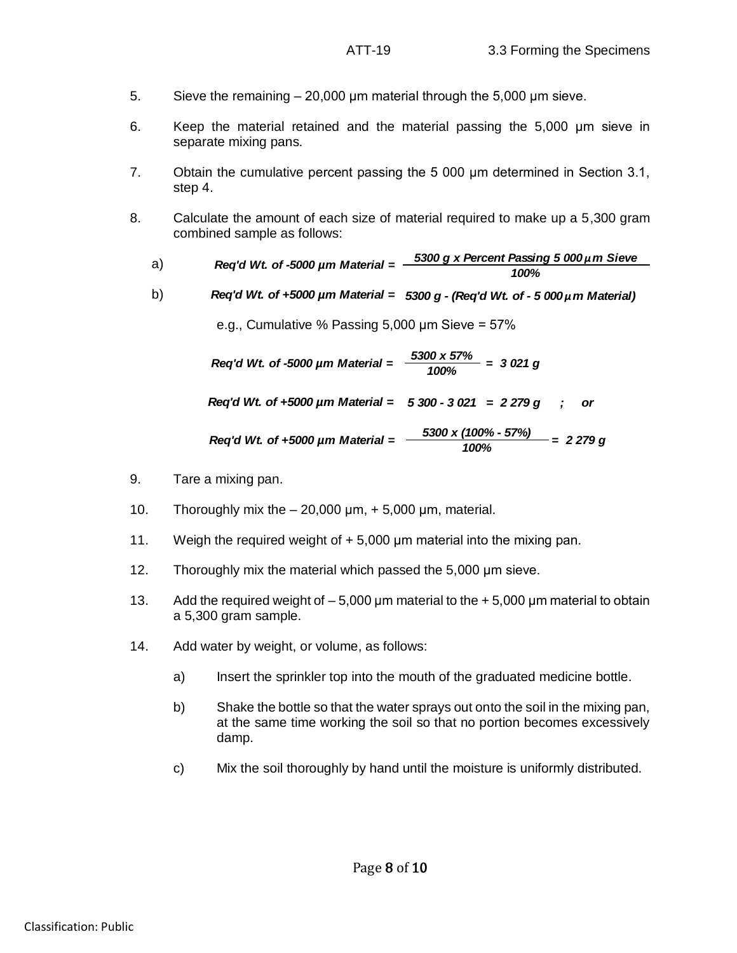- 5. Sieve the remaining 20,000 μm material through the 5,000 μm sieve.
- 6. Keep the material retained and the material passing the 5,000 μm sieve in separate mixing pans.
- 7. Obtain the cumulative percent passing the 5 000 um determined in Section 3.1, step 4.
- 8. Calculate the amount of each size of material required to make up a 5,300 gram combined sample as follows:
	- a) *100%*
	- b) *Req'd Wt. of +5000 µm Material = 5300 g - (Req'd Wt. of - 5 000µm Material)*

e.g., Cumulative % Passing 5,000 μm Sieve = 57%

*5300 x 57% Req'd Wt. of -5000 µm Material =*  $\frac{5300 \text{ g} \times \text{Percent Passing 5 000} \mu \text{m Sieve}}{100\%}$ <br> *Req'd Wt. of +5000 µm Material = 5300 g - (Req'd Wt. of - 5 000µm Material)*<br>
e.g., Cumulative % Passing 5,000 µm Sieve = 57%<br> *Req'd Wt. of* 

*Req'd Wt. of +5000 µm Material = 5 300 - 3 021 = 2 279 g ; or*

$$
Req'd Wt. of +5000 \mu m Material = \frac{5300 \times (100\% - 57\%)}{100\%} = 2279 \text{ g}
$$

- 9. Tare a mixing pan.
- 10. Thoroughly mix the  $-20,000 \mu m$ ,  $+5,000 \mu m$ , material.
- 11. Weigh the required weight of + 5,000 μm material into the mixing pan.
- 12. Thoroughly mix the material which passed the 5,000 μm sieve.
- 13. Add the required weight of 5,000 μm material to the + 5,000 μm material to obtain a 5,300 gram sample.
- 14. Add water by weight, or volume, as follows:
	- a) Insert the sprinkler top into the mouth of the graduated medicine bottle.
	- b) Shake the bottle so that the water sprays out onto the soil in the mixing pan, at the same time working the soil so that no portion becomes excessively damp.
	- c) Mix the soil thoroughly by hand until the moisture is uniformly distributed.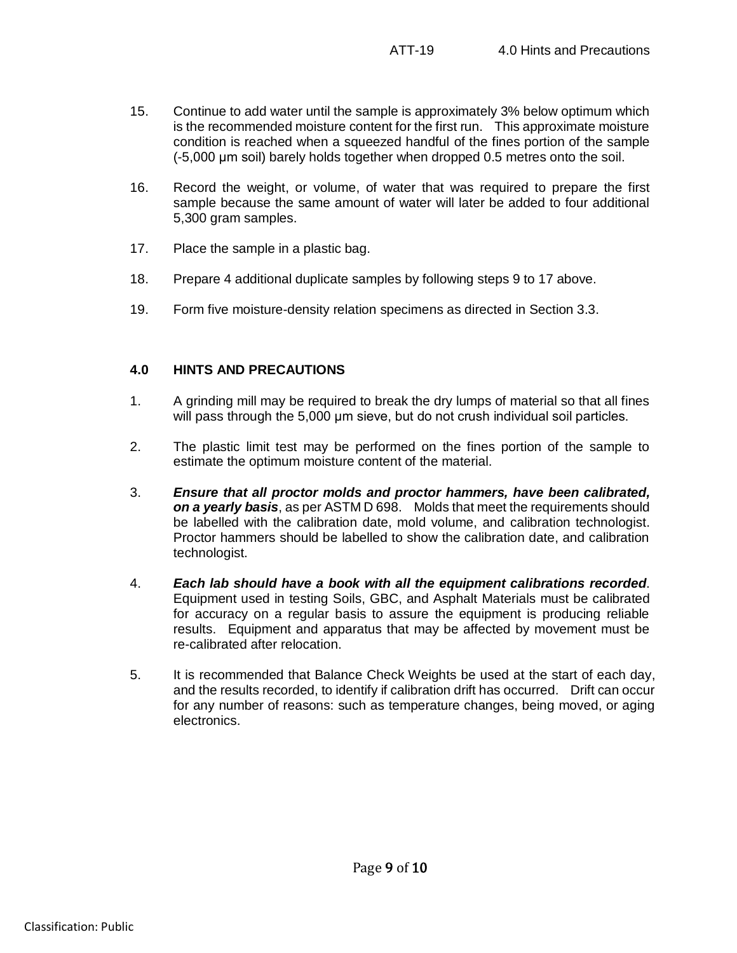- 15. Continue to add water until the sample is approximately 3% below optimum which is the recommended moisture content for the first run. This approximate moisture condition is reached when a squeezed handful of the fines portion of the sample (-5,000 μm soil) barely holds together when dropped 0.5 metres onto the soil.
- 16. Record the weight, or volume, of water that was required to prepare the first sample because the same amount of water will later be added to four additional 5,300 gram samples.
- 17. Place the sample in a plastic bag.
- 18. Prepare 4 additional duplicate samples by following steps 9 to 17 above.
- 19. Form five moisture-density relation specimens as directed in Section 3.3.

# **4.0 HINTS AND PRECAUTIONS**

- 1. A grinding mill may be required to break the dry lumps of material so that all fines will pass through the 5,000 μm sieve, but do not crush individual soil particles.
- 2. The plastic limit test may be performed on the fines portion of the sample to estimate the optimum moisture content of the material.
- 3. *Ensure that all proctor molds and proctor hammers, have been calibrated, on a yearly basis*, as per ASTM D 698. Molds that meet the requirements should be labelled with the calibration date, mold volume, and calibration technologist. Proctor hammers should be labelled to show the calibration date, and calibration technologist.
- 4. *Each lab should have a book with all the equipment calibrations recorded*. Equipment used in testing Soils, GBC, and Asphalt Materials must be calibrated for accuracy on a regular basis to assure the equipment is producing reliable results. Equipment and apparatus that may be affected by movement must be re-calibrated after relocation.
- 5. It is recommended that Balance Check Weights be used at the start of each day, and the results recorded, to identify if calibration drift has occurred. Drift can occur for any number of reasons: such as temperature changes, being moved, or aging electronics.